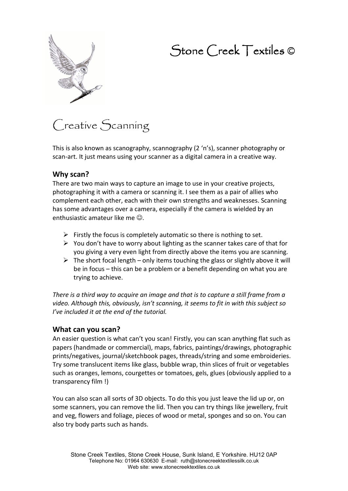# Stone Creek Textiles ©



# Creative Scanning

This is also known as scanography, scannography (2 'n's), scanner photography or scan-art. It just means using your scanner as a digital camera in a creative way.

#### **Why scan?**

There are two main ways to capture an image to use in your creative projects, photographing it with a camera or scanning it. I see them as a pair of allies who complement each other, each with their own strengths and weaknesses. Scanning has some advantages over a camera, especially if the camera is wielded by an enthusiastic amateur like me  $\odot$ .

- > Firstly the focus is completely automatic so there is nothing to set.
- ▶ You don't have to worry about lighting as the scanner takes care of that for you giving a very even light from directly above the items you are scanning.
- $\triangleright$  The short focal length only items touching the glass or slightly above it will be in focus – this can be a problem or a benefit depending on what you are trying to achieve.

*There is a third way to acquire an image and that is to capture a still frame from a video. Although this, obviously, isn't scanning, it seems to fit in with this subject so I've included it at the end of the tutorial.* 

#### **What can you scan?**

An easier question is what can't you scan! Firstly, you can scan anything flat such as papers (handmade or commercial), maps, fabrics, paintings/drawings, photographic prints/negatives, journal/sketchbook pages, threads/string and some embroideries. Try some translucent items like glass, bubble wrap, thin slices of fruit or vegetables such as oranges, lemons, courgettes or tomatoes, gels, glues (obviously applied to a transparency film !)

You can also scan all sorts of 3D objects. To do this you just leave the lid up or, on some scanners, you can remove the lid. Then you can try things like jewellery, fruit and veg, flowers and foliage, pieces of wood or metal, sponges and so on. You can also try body parts such as hands.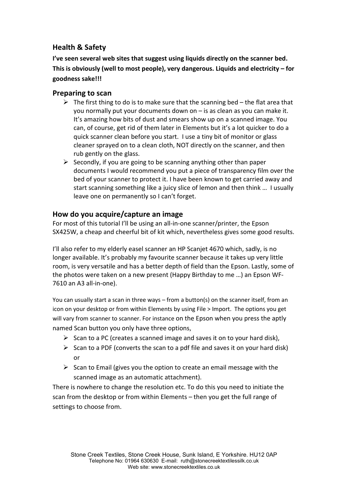## **Health & Safety**

**I've seen several web sites that suggest using liquids directly on the scanner bed. This is obviously (well to most people), very dangerous. Liquids and electricity – for goodness sake!!!** 

### **Preparing to scan**

- > The first thing to do is to make sure that the scanning bed the flat area that you normally put your documents down on – is as clean as you can make it. It's amazing how bits of dust and smears show up on a scanned image. You can, of course, get rid of them later in Elements but it's a lot quicker to do a quick scanner clean before you start. I use a tiny bit of monitor or glass cleaner sprayed on to a clean cloth, NOT directly on the scanner, and then rub gently on the glass.
- > Secondly, if you are going to be scanning anything other than paper documents I would recommend you put a piece of transparency film over the bed of your scanner to protect it. I have been known to get carried away and start scanning something like a juicy slice of lemon and then think … I usually leave one on permanently so I can't forget.

### **How do you acquire/capture an image**

For most of this tutorial I'll be using an all-in-one scanner/printer, the Epson SX425W, a cheap and cheerful bit of kit which, nevertheless gives some good results.

I'll also refer to my elderly easel scanner an HP Scanjet 4670 which, sadly, is no longer available. It's probably my favourite scanner because it takes up very little room, is very versatile and has a better depth of field than the Epson. Lastly, some of the photos were taken on a new present (Happy Birthday to me …) an Epson WF-7610 an A3 all-in-one).

You can usually start a scan in three ways – from a button(s) on the scanner itself, from an icon on your desktop or from within Elements by using File > Import. The options you get will vary from scanner to scanner. For instance on the Epson when you press the aptly named Scan button you only have three options,

- > Scan to a PC (creates a scanned image and saves it on to your hard disk),
- > Scan to a PDF (converts the scan to a pdf file and saves it on your hard disk) or
- > Scan to Email (gives you the option to create an email message with the scanned image as an automatic attachment).

There is nowhere to change the resolution etc. To do this you need to initiate the scan from the desktop or from within Elements – then you get the full range of settings to choose from.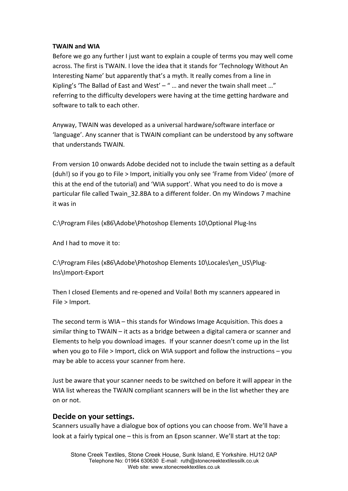#### **TWAIN and WIA**

Before we go any further I just want to explain a couple of terms you may well come across. The first is TWAIN. I love the idea that it stands for 'Technology Without An Interesting Name' but apparently that's a myth. It really comes from a line in Kipling's 'The Ballad of East and West' – " ... and never the twain shall meet ..." referring to the difficulty developers were having at the time getting hardware and software to talk to each other.

Anyway, TWAIN was developed as a universal hardware/software interface or 'language'. Any scanner that is TWAIN compliant can be understood by any software that understands TWAIN.

From version 10 onwards Adobe decided not to include the twain setting as a default (duh!) so if you go to File > Import, initially you only see 'Frame from Video' (more of this at the end of the tutorial) and 'WIA support'. What you need to do is move a particular file called Twain\_32.8BA to a different folder. On my Windows 7 machine it was in

C:\Program Files (x86\Adobe\Photoshop Elements 10\Optional Plug-Ins

And I had to move it to:

C:\Program Files (x86\Adobe\Photoshop Elements 10\Locales\en\_US\Plug-Ins\Import-Export

Then I closed Elements and re-opened and Voila! Both my scanners appeared in File > Import.

The second term is WIA – this stands for Windows Image Acquisition. This does a similar thing to TWAIN – it acts as a bridge between a digital camera or scanner and Elements to help you download images. If your scanner doesn't come up in the list when you go to File > Import, click on WIA support and follow the instructions – you may be able to access your scanner from here.

Just be aware that your scanner needs to be switched on before it will appear in the WIA list whereas the TWAIN compliant scanners will be in the list whether they are on or not.

#### **Decide on your settings.**

Scanners usually have a dialogue box of options you can choose from. We'll have a look at a fairly typical one – this is from an Epson scanner. We'll start at the top: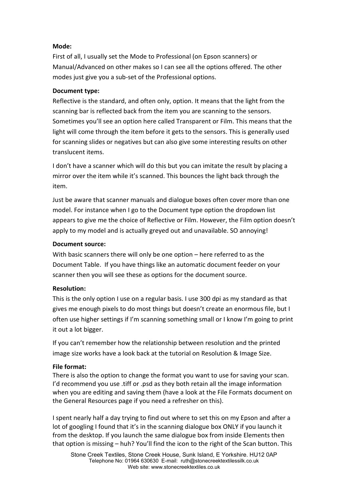#### **Mode:**

First of all, I usually set the Mode to Professional (on Epson scanners) or Manual/Advanced on other makes so I can see all the options offered. The other modes just give you a sub-set of the Professional options.

#### **Document type:**

Reflective is the standard, and often only, option. It means that the light from the scanning bar is reflected back from the item you are scanning to the sensors. Sometimes you'll see an option here called Transparent or Film. This means that the light will come through the item before it gets to the sensors. This is generally used for scanning slides or negatives but can also give some interesting results on other translucent items.

I don't have a scanner which will do this but you can imitate the result by placing a mirror over the item while it's scanned. This bounces the light back through the item.

Just be aware that scanner manuals and dialogue boxes often cover more than one model. For instance when I go to the Document type option the dropdown list appears to give me the choice of Reflective or Film. However, the Film option doesn't apply to my model and is actually greyed out and unavailable. SO annoying!

#### **Document source:**

With basic scanners there will only be one option – here referred to as the Document Table. If you have things like an automatic document feeder on your scanner then you will see these as options for the document source.

#### **Resolution:**

This is the only option I use on a regular basis. I use 300 dpi as my standard as that gives me enough pixels to do most things but doesn't create an enormous file, but I often use higher settings if I'm scanning something small or I know I'm going to print it out a lot bigger.

If you can't remember how the relationship between resolution and the printed image size works have a look back at the tutorial on Resolution & Image Size.

#### **File format:**

There is also the option to change the format you want to use for saving your scan. I'd recommend you use .tiff or .psd as they both retain all the image information when you are editing and saving them (have a look at the File Formats document on the General Resources page if you need a refresher on this).

I spent nearly half a day trying to find out where to set this on my Epson and after a lot of googling I found that it's in the scanning dialogue box ONLY if you launch it from the desktop. If you launch the same dialogue box from inside Elements then that option is missing – huh? You'll find the icon to the right of the Scan button. This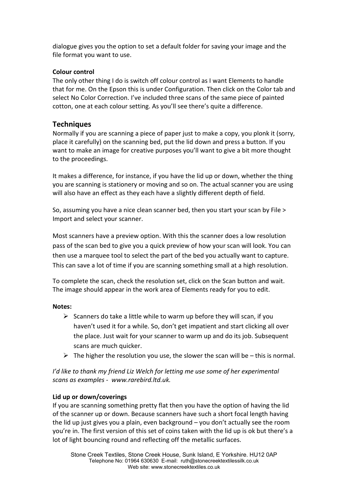dialogue gives you the option to set a default folder for saving your image and the file format you want to use.

#### **Colour control**

The only other thing I do is switch off colour control as I want Elements to handle that for me. On the Epson this is under Configuration. Then click on the Color tab and select No Color Correction. I've included three scans of the same piece of painted cotton, one at each colour setting. As you'll see there's quite a difference.

#### **Techniques**

Normally if you are scanning a piece of paper just to make a copy, you plonk it (sorry, place it carefully) on the scanning bed, put the lid down and press a button. If you want to make an image for creative purposes you'll want to give a bit more thought to the proceedings.

It makes a difference, for instance, if you have the lid up or down, whether the thing you are scanning is stationery or moving and so on. The actual scanner you are using will also have an effect as they each have a slightly different depth of field.

So, assuming you have a nice clean scanner bed, then you start your scan by File > Import and select your scanner.

Most scanners have a preview option. With this the scanner does a low resolution pass of the scan bed to give you a quick preview of how your scan will look. You can then use a marquee tool to select the part of the bed you actually want to capture. This can save a lot of time if you are scanning something small at a high resolution.

To complete the scan, check the resolution set, click on the Scan button and wait. The image should appear in the work area of Elements ready for you to edit.

#### **Notes:**

- > Scanners do take a little while to warm up before they will scan, if you haven't used it for a while. So, don't get impatient and start clicking all over the place. Just wait for your scanner to warm up and do its job. Subsequent scans are much quicker.
- $\triangleright$  The higher the resolution you use, the slower the scan will be this is normal.

*I'd like to thank my friend Liz Welch for letting me use some of her experimental scans as examples - www.rarebird.ltd.uk.*

#### **Lid up or down/coverings**

If you are scanning something pretty flat then you have the option of having the lid of the scanner up or down. Because scanners have such a short focal length having the lid up just gives you a plain, even background – you don't actually see the room you're in. The first version of this set of coins taken with the lid up is ok but there's a lot of light bouncing round and reflecting off the metallic surfaces.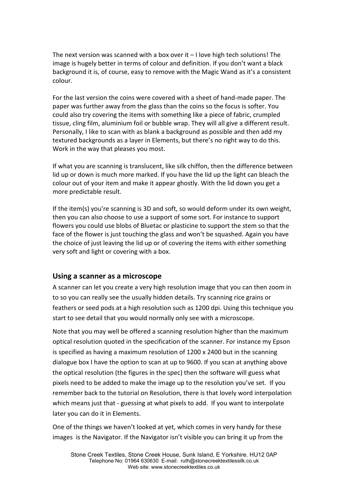The next version was scanned with a box over it  $-1$  love high tech solutions! The image is hugely better in terms of colour and definition. If you don't want a black background it is, of course, easy to remove with the Magic Wand as it's a consistent colour.

For the last version the coins were covered with a sheet of hand-made paper. The paper was further away from the glass than the coins so the focus is softer. You could also try covering the items with something like a piece of fabric, crumpled tissue, cling film, aluminium foil or bubble wrap. They will all give a different result. Personally, I like to scan with as blank a background as possible and then add my textured backgrounds as a layer in Elements, but there's no right way to do this. Work in the way that pleases you most.

If what you are scanning is translucent, like silk chiffon, then the difference between lid up or down is much more marked. If you have the lid up the light can bleach the colour out of your item and make it appear ghostly. With the lid down you get a more predictable result.

If the item(s) you're scanning is 3D and soft, so would deform under its own weight, then you can also choose to use a support of some sort. For instance to support flowers you could use blobs of Bluetac or plasticine to support the stem so that the face of the flower is just touching the glass and won't be squashed. Again you have the choice of just leaving the lid up or of covering the items with either something very soft and light or covering with a box.

#### **Using a scanner as a microscope**

A scanner can let you create a very high resolution image that you can then zoom in to so you can really see the usually hidden details. Try scanning rice grains or feathers or seed pods at a high resolution such as 1200 dpi. Using this technique you start to see detail that you would normally only see with a microscope.

Note that you may well be offered a scanning resolution higher than the maximum optical resolution quoted in the specification of the scanner. For instance my Epson is specified as having a maximum resolution of 1200 x 2400 but in the scanning dialogue box I have the option to scan at up to 9600. If you scan at anything above the optical resolution (the figures in the spec) then the software will guess what pixels need to be added to make the image up to the resolution you've set. If you remember back to the tutorial on Resolution, there is that lovely word interpolation which means just that - guessing at what pixels to add. If you want to interpolate later you can do it in Elements.

One of the things we haven't looked at yet, which comes in very handy for these images is the Navigator. If the Navigator isn't visible you can bring it up from the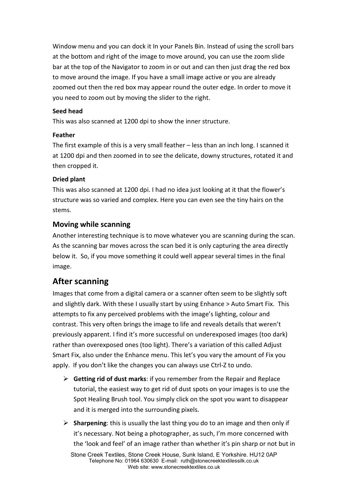Window menu and you can dock it In your Panels Bin. Instead of using the scroll bars at the bottom and right of the image to move around, you can use the zoom slide bar at the top of the Navigator to zoom in or out and can then just drag the red box to move around the image. If you have a small image active or you are already zoomed out then the red box may appear round the outer edge. In order to move it you need to zoom out by moving the slider to the right.

#### **Seed head**

This was also scanned at 1200 dpi to show the inner structure.

#### **Feather**

The first example of this is a very small feather – less than an inch long. I scanned it at 1200 dpi and then zoomed in to see the delicate, downy structures, rotated it and then cropped it.

#### **Dried plant**

This was also scanned at 1200 dpi. I had no idea just looking at it that the flower's structure was so varied and complex. Here you can even see the tiny hairs on the stems.

## **Moving while scanning**

Another interesting technique is to move whatever you are scanning during the scan. As the scanning bar moves across the scan bed it is only capturing the area directly below it. So, if you move something it could well appear several times in the final image.

## **After scanning**

Images that come from a digital camera or a scanner often seem to be slightly soft and slightly dark. With these I usually start by using Enhance > Auto Smart Fix. This attempts to fix any perceived problems with the image's lighting, colour and contrast. This very often brings the image to life and reveals details that weren't previously apparent. I find it's more successful on underexposed images (too dark) rather than overexposed ones (too light). There's a variation of this called Adjust Smart Fix, also under the Enhance menu. This let's you vary the amount of Fix you apply. If you don't like the changes you can always use Ctrl-Z to undo.

- **Getting rid of dust marks**: if you remember from the Repair and Replace tutorial, the easiest way to get rid of dust spots on your images is to use the Spot Healing Brush tool. You simply click on the spot you want to disappear and it is merged into the surrounding pixels.
- > Sharpening: this is usually the last thing you do to an image and then only if it's necessary. Not being a photographer, as such, I'm more concerned with the 'look and feel' of an image rather than whether it's pin sharp or not but in

Stone Creek Textiles, Stone Creek House, Sunk Island, E Yorkshire. HU12 0AP Telephone No: 01964 630630 E-mail: ruth@stonecreektextilessilk.co.uk Web site: www.stonecreektextiles.co.uk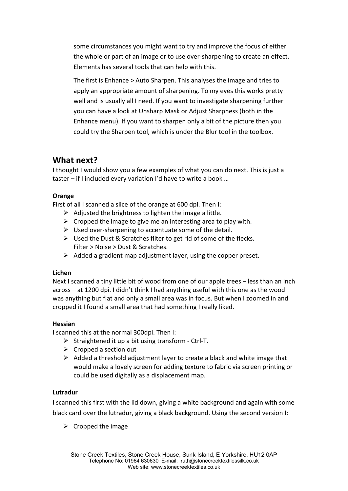some circumstances you might want to try and improve the focus of either the whole or part of an image or to use over-sharpening to create an effect. Elements has several tools that can help with this.

The first is Enhance > Auto Sharpen. This analyses the image and tries to apply an appropriate amount of sharpening. To my eyes this works pretty well and is usually all I need. If you want to investigate sharpening further you can have a look at Unsharp Mask or Adjust Sharpness (both in the Enhance menu). If you want to sharpen only a bit of the picture then you could try the Sharpen tool, which is under the Blur tool in the toolbox.

## **What next?**

I thought I would show you a few examples of what you can do next. This is just a taster – if I included every variation I'd have to write a book …

#### **Orange**

First of all I scanned a slice of the orange at 600 dpi. Then I:

- $\triangleright$  Adjusted the brightness to lighten the image a little.
- $\triangleright$  Cropped the image to give me an interesting area to play with.
- > Used over-sharpening to accentuate some of the detail.
- > Used the Dust & Scratches filter to get rid of some of the flecks. Filter > Noise > Dust & Scratches.
- > Added a gradient map adjustment layer, using the copper preset.

#### **Lichen**

Next I scanned a tiny little bit of wood from one of our apple trees – less than an inch across – at 1200 dpi. I didn't think I had anything useful with this one as the wood was anything but flat and only a small area was in focus. But when I zoomed in and cropped it I found a small area that had something I really liked.

#### **Hessian**

I scanned this at the normal 300dpi. Then I:

- > Straightened it up a bit using transform Ctrl-T.
- > Cropped a section out
- > Added a threshold adjustment layer to create a black and white image that would make a lovely screen for adding texture to fabric via screen printing or could be used digitally as a displacement map.

#### **Lutradur**

I scanned this first with the lid down, giving a white background and again with some black card over the lutradur, giving a black background. Using the second version I:

 $\triangleright$  Cropped the image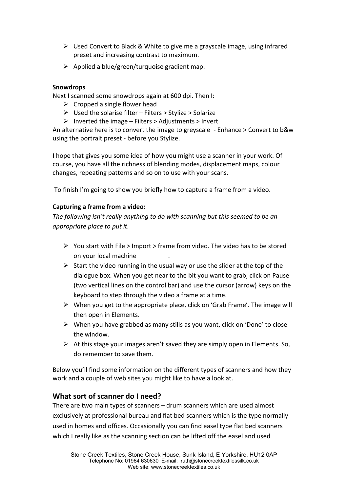- > Used Convert to Black & White to give me a grayscale image, using infrared preset and increasing contrast to maximum.
- > Applied a blue/green/turquoise gradient map.

#### **Snowdrops**

Next I scanned some snowdrops again at 600 dpi. Then I:

- $\triangleright$  Cropped a single flower head
- > Used the solarise filter Filters > Stylize > Solarize
- > Inverted the image Filters > Adjustments > Invert

An alternative here is to convert the image to greyscale - Enhance > Convert to b&w using the portrait preset - before you Stylize.

I hope that gives you some idea of how you might use a scanner in your work. Of course, you have all the richness of blending modes, displacement maps, colour changes, repeating patterns and so on to use with your scans.

To finish I'm going to show you briefly how to capture a frame from a video.

#### **Capturing a frame from a video:**

*The following isn't really anything to do with scanning but this seemed to be an appropriate place to put it.* 

- > You start with File > Import > frame from video. The video has to be stored on your local machine .
- > Start the video running in the usual way or use the slider at the top of the dialogue box. When you get near to the bit you want to grab, click on Pause (two vertical lines on the control bar) and use the cursor (arrow) keys on the keyboard to step through the video a frame at a time.
- > When you get to the appropriate place, click on 'Grab Frame'. The image will then open in Elements.
- > When you have grabbed as many stills as you want, click on 'Done' to close the window.
- > At this stage your images aren't saved they are simply open in Elements. So, do remember to save them.

Below you'll find some information on the different types of scanners and how they work and a couple of web sites you might like to have a look at.

#### **What sort of scanner do I need?**

There are two main types of scanners – drum scanners which are used almost exclusively at professional bureau and flat bed scanners which is the type normally used in homes and offices. Occasionally you can find easel type flat bed scanners which I really like as the scanning section can be lifted off the easel and used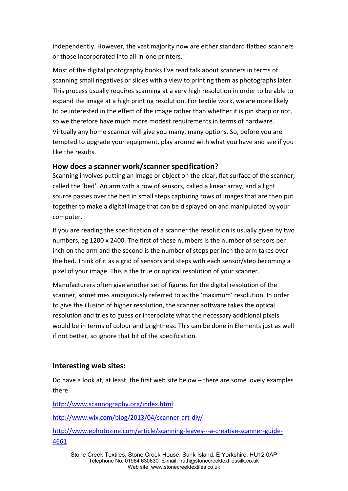independently. However, the vast majority now are either standard flatbed scanners or those incorporated into all-in-one printers.

Most of the digital photography books I've read talk about scanners in terms of scanning small negatives or slides with a view to printing them as photographs later. This process usually requires scanning at a very high resolution in order to be able to expand the image at a high printing resolution. For textile work, we are more likely to be interested in the effect of the image rather than whether it is pin sharp or not, so we therefore have much more modest requirements in terms of hardware. Virtually any home scanner will give you many, many options. So, before you are tempted to upgrade your equipment, play around with what you have and see if you like the results.

#### **How does a scanner work/scanner specification?**

Scanning involves putting an image or object on the clear, flat surface of the scanner, called the 'bed'. An arm with a row of sensors, called a linear array, and a light source passes over the bed in small steps capturing rows of images that are then put together to make a digital image that can be displayed on and manipulated by your computer.

If you are reading the specification of a scanner the resolution is usually given by two numbers, eg 1200 x 2400. The first of these numbers is the number of sensors per inch on the arm and the second is the number of steps per inch the arm takes over the bed. Think of it as a grid of sensors and steps with each sensor/step becoming a pixel of your image. This is the true or optical resolution of your scanner.

Manufacturers often give another set of figures for the digital resolution of the scanner, sometimes ambiguously referred to as the 'maximum' resolution. In order to give the illusion of higher resolution, the scanner software takes the optical resolution and tries to guess or interpolate what the necessary additional pixels would be in terms of colour and brightness. This can be done in Elements just as well if not better, so ignore that bit of the specification.

#### **Interesting web sites:**

Do have a look at, at least, the first web site below – there are some lovely examples there.

http://www.scannography.org/index.html

http://www.wix.com/blog/2013/04/scanner-art-diy/

http://www.ephotozine.com/article/scanning-leaves---a-creative-scanner-guide-4661